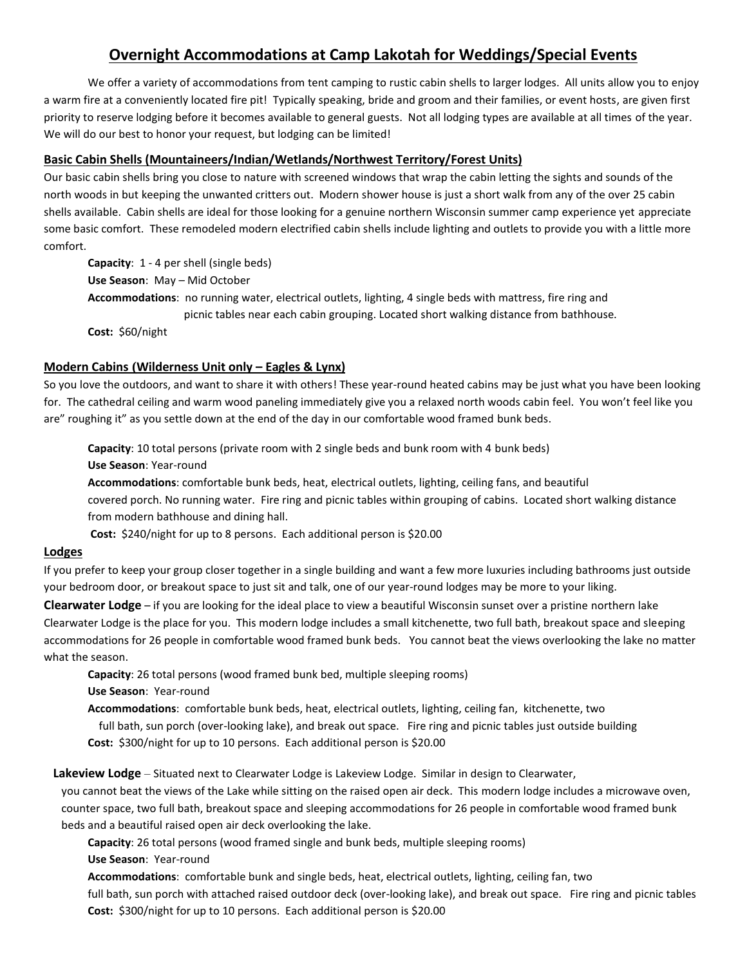# **Overnight Accommodations at Camp Lakotah for Weddings/Special Events**

We offer a variety of accommodations from tent camping to rustic cabin shells to larger lodges. All units allow you to enjoy a warm fire at a conveniently located fire pit! Typically speaking, bride and groom and their families, or event hosts, are given first priority to reserve lodging before it becomes available to general guests. Not all lodging types are available at all times of the year. We will do our best to honor your request, but lodging can be limited!

## **Basic Cabin Shells (Mountaineers/Indian/Wetlands/Northwest Territory/Forest Units)**

Our basic cabin shells bring you close to nature with screened windows that wrap the cabin letting the sights and sounds of the north woods in but keeping the unwanted critters out. Modern shower house is just a short walk from any of the over 25 cabin shells available. Cabin shells are ideal for those looking for a genuine northern Wisconsin summer camp experience yet appreciate some basic comfort. These remodeled modern electrified cabin shells include lighting and outlets to provide you with a little more comfort.

**Capacity**: 1 - 4 per shell (single beds) **Use Season**: May – Mid October **Accommodations**: no running water, electrical outlets, lighting, 4 single beds with mattress, fire ring and picnic tables near each cabin grouping. Located short walking distance from bathhouse. **Cost:** \$60/night

## **Modern Cabins (Wilderness Unit only – Eagles & Lynx)**

So you love the outdoors, and want to share it with others! These year-round heated cabins may be just what you have been looking for. The cathedral ceiling and warm wood paneling immediately give you a relaxed north woods cabin feel. You won't feel like you are" roughing it" as you settle down at the end of the day in our comfortable wood framed bunk beds.

**Capacity**: 10 total persons (private room with 2 single beds and bunk room with 4 bunk beds) **Use Season**: Year-round **Accommodations**: comfortable bunk beds, heat, electrical outlets, lighting, ceiling fans, and beautiful covered porch. No running water. Fire ring and picnic tables within grouping of cabins. Located short walking distance from modern bathhouse and dining hall.

**Cost:** \$240/night for up to 8 persons. Each additional person is \$20.00

#### **Lodges**

If you prefer to keep your group closer together in a single building and want a few more luxuries including bathrooms just outside your bedroom door, or breakout space to just sit and talk, one of our year-round lodges may be more to your liking.

**Clearwater Lodge** – if you are looking for the ideal place to view a beautiful Wisconsin sunset over a pristine northern lake Clearwater Lodge is the place for you. This modern lodge includes a small kitchenette, two full bath, breakout space and sleeping accommodations for 26 people in comfortable wood framed bunk beds. You cannot beat the views overlooking the lake no matter what the season.

**Capacity**: 26 total persons (wood framed bunk bed, multiple sleeping rooms)

**Use Season**: Year-round

**Accommodations**: comfortable bunk beds, heat, electrical outlets, lighting, ceiling fan, kitchenette, two

 full bath, sun porch (over-looking lake), and break out space. Fire ring and picnic tables just outside building **Cost:** \$300/night for up to 10 persons. Each additional person is \$20.00

 **Lakeview Lodge** – Situated next to Clearwater Lodge is Lakeview Lodge. Similar in design to Clearwater,

you cannot beat the views of the Lake while sitting on the raised open air deck. This modern lodge includes a microwave oven, counter space, two full bath, breakout space and sleeping accommodations for 26 people in comfortable wood framed bunk beds and a beautiful raised open air deck overlooking the lake.

**Capacity**: 26 total persons (wood framed single and bunk beds, multiple sleeping rooms)

**Use Season**: Year-round

**Accommodations**: comfortable bunk and single beds, heat, electrical outlets, lighting, ceiling fan, two full bath, sun porch with attached raised outdoor deck (over-looking lake), and break out space. Fire ring and picnic tables **Cost:** \$300/night for up to 10 persons. Each additional person is \$20.00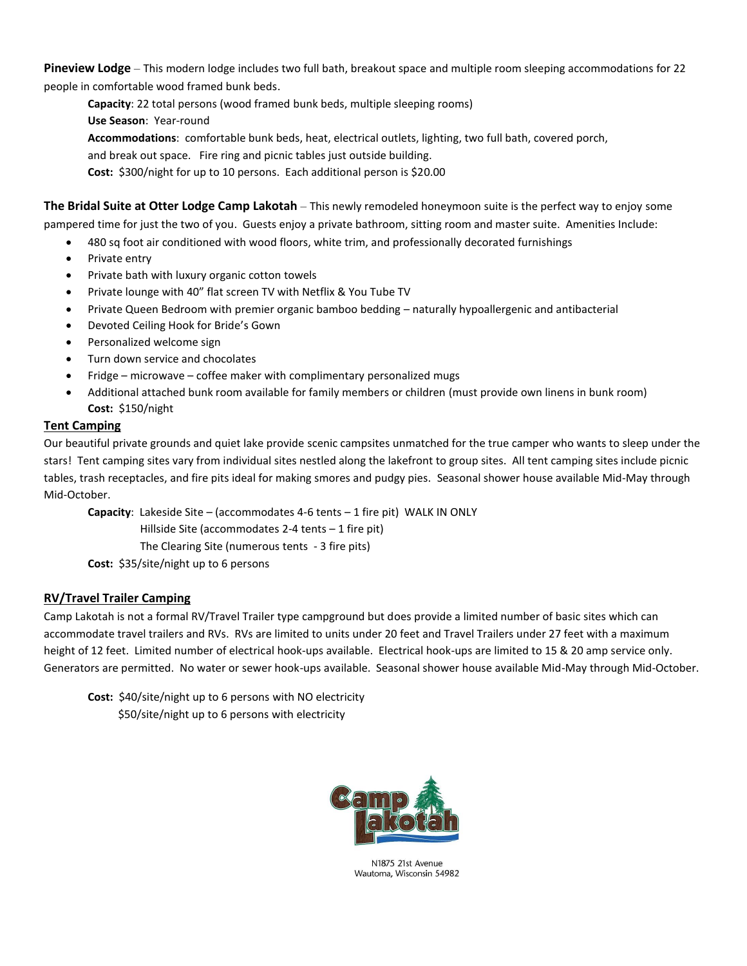**Pineview Lodge** – This modern lodge includes two full bath, breakout space and multiple room sleeping accommodations for 22 people in comfortable wood framed bunk beds.

**Capacity**: 22 total persons (wood framed bunk beds, multiple sleeping rooms) **Use Season**: Year-round **Accommodations**: comfortable bunk beds, heat, electrical outlets, lighting, two full bath, covered porch, and break out space. Fire ring and picnic tables just outside building. **Cost:** \$300/night for up to 10 persons. Each additional person is \$20.00

**The Bridal Suite at Otter Lodge Camp Lakotah** – This newly remodeled honeymoon suite is the perfect way to enjoy some pampered time for just the two of you. Guests enjoy a private bathroom, sitting room and master suite. Amenities Include:

- 480 sq foot air conditioned with wood floors, white trim, and professionally decorated furnishings
- Private entry
- Private bath with luxury organic cotton towels
- Private lounge with 40" flat screen TV with Netflix & You Tube TV
- Private Queen Bedroom with premier organic bamboo bedding naturally hypoallergenic and antibacterial
- Devoted Ceiling Hook for Bride's Gown
- Personalized welcome sign
- Turn down service and chocolates
- Fridge microwave coffee maker with complimentary personalized mugs
- Additional attached bunk room available for family members or children (must provide own linens in bunk room) **Cost:** \$150/night

# **Tent Camping**

Our beautiful private grounds and quiet lake provide scenic campsites unmatched for the true camper who wants to sleep under the stars! Tent camping sites vary from individual sites nestled along the lakefront to group sites. All tent camping sites include picnic tables, trash receptacles, and fire pits ideal for making smores and pudgy pies. Seasonal shower house available Mid-May through Mid-October.

**Capacity**: Lakeside Site – (accommodates 4-6 tents – 1 fire pit) WALK IN ONLY Hillside Site (accommodates 2-4 tents – 1 fire pit) The Clearing Site (numerous tents - 3 fire pits)

**Cost:** \$35/site/night up to 6 persons

# **RV/Travel Trailer Camping**

Camp Lakotah is not a formal RV/Travel Trailer type campground but does provide a limited number of basic sites which can accommodate travel trailers and RVs. RVs are limited to units under 20 feet and Travel Trailers under 27 feet with a maximum height of 12 feet. Limited number of electrical hook-ups available. Electrical hook-ups are limited to 15 & 20 amp service only. Generators are permitted. No water or sewer hook-ups available. Seasonal shower house available Mid-May through Mid-October.

**Cost:** \$40/site/night up to 6 persons with NO electricity \$50/site/night up to 6 persons with electricity



N1875 21st Avenue Wautoma, Wisconsin 54982